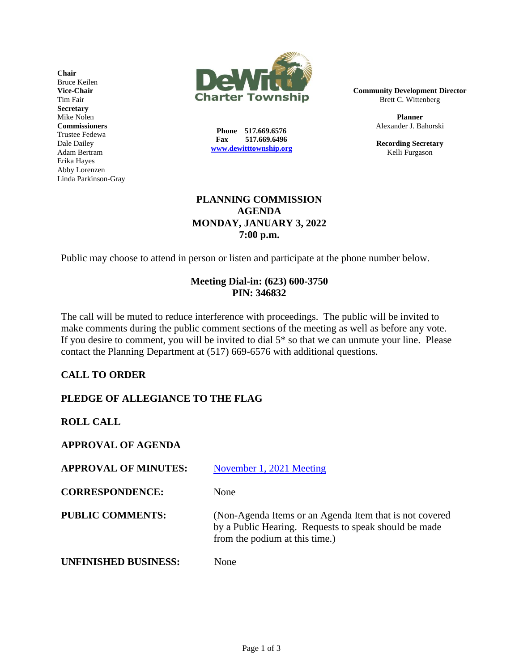**Chair** Bruce Keilen **Vice-Chair** Tim Fair **Secretary** Mike Nolen **Commissioners** Trustee Fedewa Dale Dailey Adam Bertram Erika Hayes Abby Lorenzen Linda Parkinson-Gray



**Phone 517.669.6576 Fax 517.669.6496 [www.dewitttownship.org](http://www.dewitttownship.org/)** **Community Development Director** Brett C. Wittenberg

> **Planner** Alexander J. Bahorski

> **Recording Secretary** Kelli Furgason

## **PLANNING COMMISSION AGENDA MONDAY, JANUARY 3, 2022 7:00 p.m.**

Public may choose to attend in person or listen and participate at the phone number below.

## **Meeting Dial-in: (623) 600-3750 PIN: 346832**

The call will be muted to reduce interference with proceedings. The public will be invited to make comments during the public comment sections of the meeting as well as before any vote. If you desire to comment, you will be invited to dial 5\* so that we can unmute your line. Please contact the Planning Department at (517) 669-6576 with additional questions.

## **CALL TO ORDER**

# **PLEDGE OF ALLEGIANCE TO THE FLAG**

**ROLL CALL**

**APPROVAL OF AGENDA**

| <b>APPROVAL OF MINUTES:</b> | November 1, 2021 Meeting                                                                                                                           |
|-----------------------------|----------------------------------------------------------------------------------------------------------------------------------------------------|
| <b>CORRESPONDENCE:</b>      | None                                                                                                                                               |
| <b>PUBLIC COMMENTS:</b>     | (Non-Agenda Items or an Agenda Item that is not covered<br>by a Public Hearing. Requests to speak should be made<br>from the podium at this time.) |
| <b>UNFINISHED BUSINESS:</b> | None                                                                                                                                               |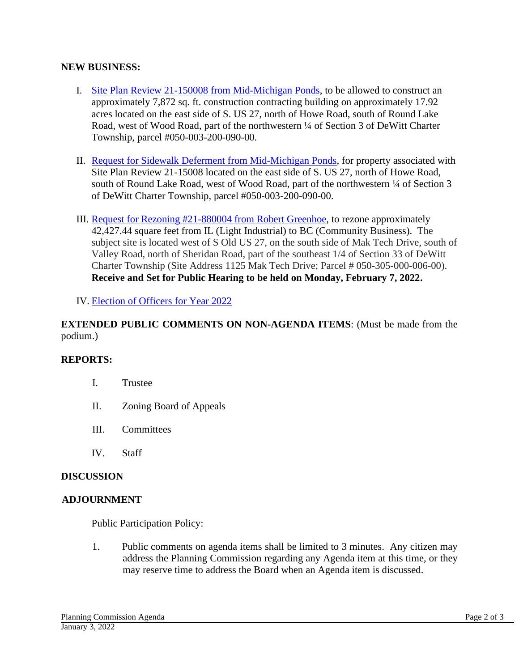## **NEW BUSINESS:**

- I. Site Plan Review 21-150008 from [Mid-Michigan Ponds,](https://www.dewitttownship.org/AgendaCenter/ViewFile/Item/220?fileID=1177) to be allowed to construct an approximately 7,872 sq. ft. construction contracting building on approximately 17.92 acres located on the east side of S. US 27, north of Howe Road, south of Round Lake Road, west of Wood Road, part of the northwestern ¼ of Section 3 of DeWitt Charter Township, parcel #050-003-200-090-00.
- II. Request for Sidewalk Deferment from [Mid-Michigan Ponds,](https://www.dewitttownship.org/AgendaCenter/ViewFile/Item/220?fileID=1178) for property associated with Site Plan Review 21-15008 located on the east side of S. US 27, north of Howe Road, south of Round Lake Road, west of Wood Road, part of the northwestern  $\frac{1}{4}$  of Section 3 of DeWitt Charter Township, parcel #050-003-200-090-00.
- III. [Request for Rezoning #21-880004 from Robert Greenhoe,](https://www.dewitttownship.org/AgendaCenter/ViewFile/Item/220?fileID=1189) to rezone approximately 42,427.44 square feet from IL (Light Industrial) to BC (Community Business). The subject site is located west of S Old US 27, on the south side of Mak Tech Drive, south of Valley Road, north of Sheridan Road, part of the southeast 1/4 of Section 33 of DeWitt Charter Township (Site Address 1125 Mak Tech Drive; Parcel # 050-305-000-006-00). **Receive and Set for Public Hearing to be held on Monday, February 7, 2022.**

IV. [Election of Officers for Year 2022](https://www.dewitttownship.org/AgendaCenter/ViewFile/Item/220?fileID=1179)

## **EXTENDED PUBLIC COMMENTS ON NON-AGENDA ITEMS**: (Must be made from the podium.)

## **REPORTS:**

- I. Trustee
- II. Zoning Board of Appeals
- III. Committees
- IV. Staff

## **DISCUSSION**

## **ADJOURNMENT**

Public Participation Policy:

1. Public comments on agenda items shall be limited to 3 minutes. Any citizen may address the Planning Commission regarding any Agenda item at this time, or they may reserve time to address the Board when an Agenda item is discussed.